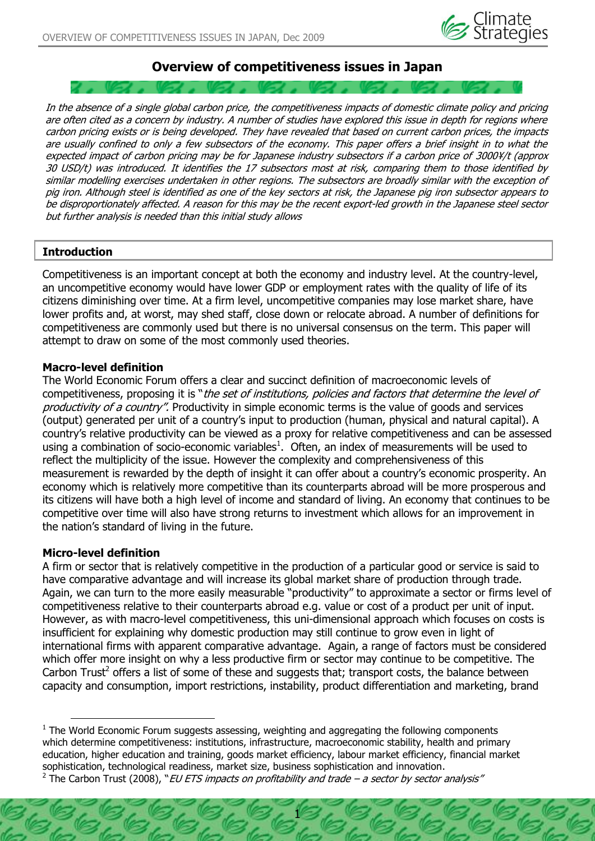

# **Overview of competitiveness issues in Japan**

In the absence of a single global carbon price, the competitiveness impacts of domestic climate policy and pricing are often cited as a concern by industry. A number of studies have explored this issue in depth for regions where carbon pricing exists or is being developed. They have revealed that based on current carbon prices, the impacts are usually confined to only a few subsectors of the economy. This paper offers a brief insight in to what the expected impact of carbon pricing may be for Japanese industry subsectors if a carbon price of 3000¥/t (approx 30 USD/t) was introduced. It identifies the 17 subsectors most at risk, comparing them to those identified by similar modelling exercises undertaken in other regions. The subsectors are broadly similar with the exception of pig iron. Although steel is identified as one of the key sectors at risk, the Japanese pig iron subsector appears to be disproportionately affected. A reason for this may be the recent export-led growth in the Japanese steel sector but further analysis is needed than this initial study allows

### **Introduction**

Competitiveness is an important concept at both the economy and industry level. At the country-level, an uncompetitive economy would have lower GDP or employment rates with the quality of life of its citizens diminishing over time. At a firm level, uncompetitive companies may lose market share, have lower profits and, at worst, may shed staff, close down or relocate abroad. A number of definitions for competitiveness are commonly used but there is no universal consensus on the term. This paper will attempt to draw on some of the most commonly used theories.

#### **Macro-level definition**

The World Economic Forum offers a clear and succinct definition of macroeconomic levels of competitiveness, proposing it is "the set of institutions, policies and factors that determine the level of productivity of a country". Productivity in simple economic terms is the value of goods and services (output) generated per unit of a country's input to production (human, physical and natural capital). A country's relative productivity can be viewed as a proxy for relative competitiveness and can be assessed using a combination of socio-economic variables<sup>1</sup>. Often, an index of measurements will be used to reflect the multiplicity of the issue. However the complexity and comprehensiveness of this measurement is rewarded by the depth of insight it can offer about a country's economic prosperity. An economy which is relatively more competitive than its counterparts abroad will be more prosperous and its citizens will have both a high level of income and standard of living. An economy that continues to be competitive over time will also have strong returns to investment which allows for an improvement in the nation's standard of living in the future.

### **Micro-level definition**

 $\overline{a}$ 

A firm or sector that is relatively competitive in the production of a particular good or service is said to have comparative advantage and will increase its global market share of production through trade. Again, we can turn to the more easily measurable "productivity" to approximate a sector or firms level of competitiveness relative to their counterparts abroad e.g. value or cost of a product per unit of input. However, as with macro-level competitiveness, this uni-dimensional approach which focuses on costs is insufficient for explaining why domestic production may still continue to grow even in light of international firms with apparent comparative advantage. Again, a range of factors must be considered which offer more insight on why a less productive firm or sector may continue to be competitive. The Carbon Trust<sup>2</sup> offers a list of some of these and suggests that; transport costs, the balance between capacity and consumption, import restrictions, instability, product differentiation and marketing, brand

 $1$  The World Economic Forum suggests assessing, weighting and aggregating the following components which determine competitiveness: institutions, infrastructure, macroeconomic stability, health and primary education, higher education and training, goods market efficiency, labour market efficiency, financial market sophistication, technological readiness, market size, business sophistication and innovation.

<sup>&</sup>lt;sup>2</sup> The Carbon Trust (2008), "EU ETS impacts on profitability and trade – a sector by sector analysis"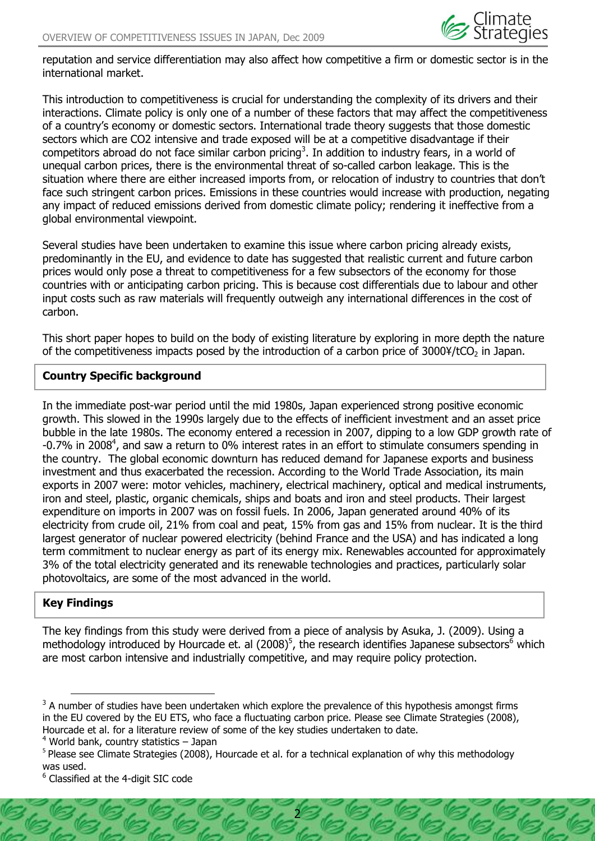

reputation and service differentiation may also affect how competitive a firm or domestic sector is in the international market.

This introduction to competitiveness is crucial for understanding the complexity of its drivers and their interactions. Climate policy is only one of a number of these factors that may affect the competitiveness of a country's economy or domestic sectors. International trade theory suggests that those domestic sectors which are CO2 intensive and trade exposed will be at a competitive disadvantage if their competitors abroad do not face similar carbon pricing<sup>3</sup>. In addition to industry fears, in a world of unequal carbon prices, there is the environmental threat of so-called carbon leakage. This is the situation where there are either increased imports from, or relocation of industry to countries that don't face such stringent carbon prices. Emissions in these countries would increase with production, negating any impact of reduced emissions derived from domestic climate policy; rendering it ineffective from a global environmental viewpoint.

Several studies have been undertaken to examine this issue where carbon pricing already exists, predominantly in the EU, and evidence to date has suggested that realistic current and future carbon prices would only pose a threat to competitiveness for a few subsectors of the economy for those countries with or anticipating carbon pricing. This is because cost differentials due to labour and other input costs such as raw materials will frequently outweigh any international differences in the cost of carbon.

This short paper hopes to build on the body of existing literature by exploring in more depth the nature of the competitiveness impacts posed by the introduction of a carbon price of  $30004/tCO<sub>2</sub>$  in Japan.

### **Country Specific background**

In the immediate post-war period until the mid 1980s, Japan experienced strong positive economic growth. This slowed in the 1990s largely due to the effects of inefficient investment and an asset price bubble in the late 1980s. The economy entered a recession in 2007, dipping to a low GDP growth rate of -0.7% in 2008<sup>4</sup>, and saw a return to 0% interest rates in an effort to stimulate consumers spending in the country. The global economic downturn has reduced demand for Japanese exports and business investment and thus exacerbated the recession. According to the World Trade Association, its main exports in 2007 were: motor vehicles, machinery, electrical machinery, optical and medical instruments, iron and steel, plastic, organic chemicals, ships and boats and iron and steel products. Their largest expenditure on imports in 2007 was on fossil fuels. In 2006, Japan generated around 40% of its electricity from crude oil, 21% from coal and peat, 15% from gas and 15% from nuclear. It is the third largest generator of nuclear powered electricity (behind France and the USA) and has indicated a long term commitment to nuclear energy as part of its energy mix. Renewables accounted for approximately 3% of the total electricity generated and its renewable technologies and practices, particularly solar photovoltaics, are some of the most advanced in the world.

## **Key Findings**

 $\overline{a}$ 

The key findings from this study were derived from a piece of analysis by Asuka, J. (2009). Using a methodology introduced by Hourcade et. al (2008)<sup>5</sup>, the research identifies Japanese subsectors<sup>6</sup> which are most carbon intensive and industrially competitive, and may require policy protection.

 $4$  World bank, country statistics  $-$  Japan

 $3$  A number of studies have been undertaken which explore the prevalence of this hypothesis amongst firms in the EU covered by the EU ETS, who face a fluctuating carbon price. Please see Climate Strategies (2008), Hourcade et al. for a literature review of some of the key studies undertaken to date.

<sup>&</sup>lt;sup>5</sup> Please see Climate Strategies (2008), Hourcade et al. for a technical explanation of why this methodology was used.

<sup>6</sup> Classified at the 4-digit SIC code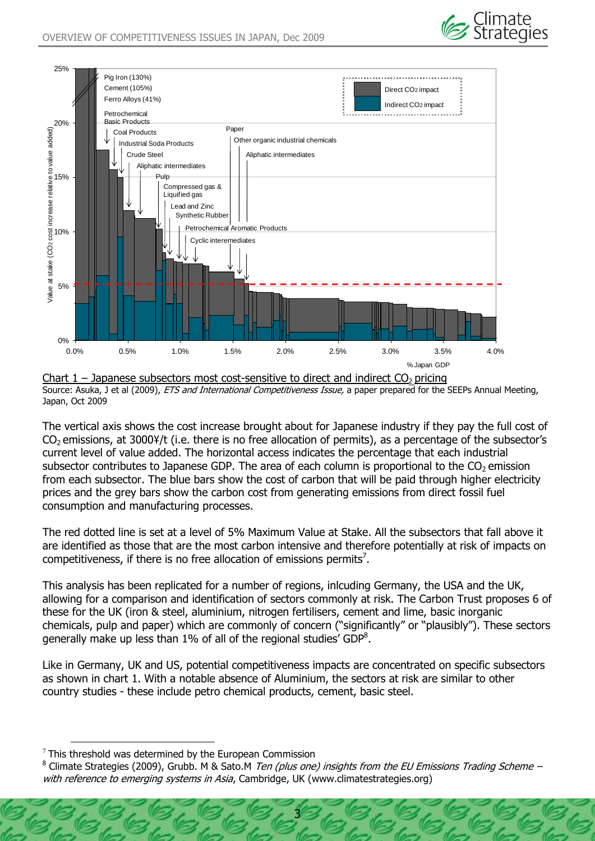



Chart  $1$  – Japanese subsectors most cost-sensitive to direct and indirect  $CO<sub>2</sub>$  pricing Source: Asuka, J et al (2009), *ETS and International Competitiveness Issue*, a paper prepared for the SEEPs Annual Meeting, Japan, Oct 2009

The vertical axis shows the cost increase brought about for Japanese industry if they pay the full cost of CO<sub>2</sub> emissions, at 3000¥/t (i.e. there is no free allocation of permits), as a percentage of the subsector's current level of value added. The horizontal access indicates the percentage that each industrial subsector contributes to Japanese GDP. The area of each column is proportional to the  $CO<sub>2</sub>$  emission from each subsector. The blue bars show the cost of carbon that will be paid through higher electricity prices and the grey bars show the carbon cost from generating emissions from direct fossil fuel consumption and manufacturing processes.

The red dotted line is set at a level of 5% Maximum Value at Stake. All the subsectors that fall above it are identified as those that are the most carbon intensive and therefore potentially at risk of impacts on competitiveness, if there is no free allocation of emissions permits<sup>7</sup>.

This analysis has been replicated for a number of regions, inlcuding Germany, the USA and the UK, allowing for a comparison and identification of sectors commonly at risk. The Carbon Trust proposes 6 of these for the UK (iron & steel, aluminium, nitrogen fertilisers, cement and lime, basic inorganic chemicals, pulp and paper) which are commonly of concern ("significantly" or "plausibly"). These sectors generally make up less than 1% of all of the regional studies' GDP<sup>8</sup>.

Like in Germany, UK and US, potential competitiveness impacts are concentrated on specific subsectors as shown in chart 1. With a notable absence of Aluminium, the sectors at risk are similar to other country studies - these include petro chemical products, cement, basic steel.

 $\overline{a}$ 

 $7$  This threshold was determined by the European Commission

<sup>&</sup>lt;sup>8</sup> Climate Strategies (2009), Grubb. M & Sato.M *Ten (plus one) insights from the EU Emissions Trading Scheme –* with reference to emerging systems in Asia, Cambridge, UK (www.climatestrategies.org)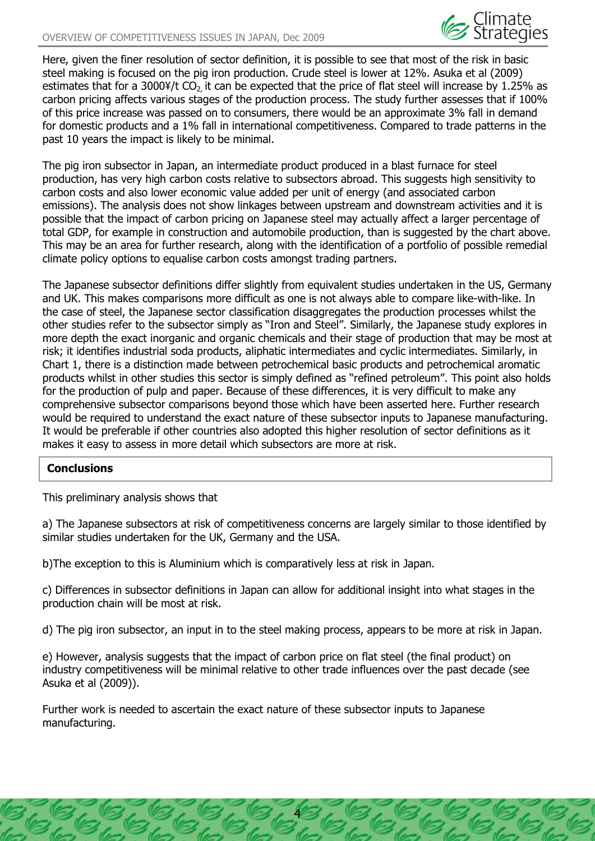

Here, given the finer resolution of sector definition, it is possible to see that most of the risk in basic steel making is focused on the pig iron production. Crude steel is lower at 12%. Asuka et al (2009) estimates that for a 3000¥/t CO<sub>2</sub> it can be expected that the price of flat steel will increase by 1.25% as carbon pricing affects various stages of the production process. The study further assesses that if 100% of this price increase was passed on to consumers, there would be an approximate 3% fall in demand for domestic products and a 1% fall in international competitiveness. Compared to trade patterns in the past 10 years the impact is likely to be minimal.

The pig iron subsector in Japan, an intermediate product produced in a blast furnace for steel production, has very high carbon costs relative to subsectors abroad. This suggests high sensitivity to carbon costs and also lower economic value added per unit of energy (and associated carbon emissions). The analysis does not show linkages between upstream and downstream activities and it is possible that the impact of carbon pricing on Japanese steel may actually affect a larger percentage of total GDP, for example in construction and automobile production, than is suggested by the chart above. This may be an area for further research, along with the identification of a portfolio of possible remedial climate policy options to equalise carbon costs amongst trading partners.

The Japanese subsector definitions differ slightly from equivalent studies undertaken in the US, Germany and UK. This makes comparisons more difficult as one is not always able to compare like-with-like. In the case of steel, the Japanese sector classification disaggregates the production processes whilst the other studies refer to the subsector simply as "Iron and Steel". Similarly, the Japanese study explores in more depth the exact inorganic and organic chemicals and their stage of production that may be most at risk; it identifies industrial soda products, aliphatic intermediates and cyclic intermediates. Similarly, in Chart 1, there is a distinction made between petrochemical basic products and petrochemical aromatic products whilst in other studies this sector is simply defined as "refined petroleum". This point also holds for the production of pulp and paper. Because of these differences, it is very difficult to make any comprehensive subsector comparisons beyond those which have been asserted here. Further research would be required to understand the exact nature of these subsector inputs to Japanese manufacturing. It would be preferable if other countries also adopted this higher resolution of sector definitions as it makes it easy to assess in more detail which subsectors are more at risk.

### **Conclusions**

This preliminary analysis shows that

a) The Japanese subsectors at risk of competitiveness concerns are largely similar to those identified by similar studies undertaken for the UK, Germany and the USA.

b)The exception to this is Aluminium which is comparatively less at risk in Japan.

c) Differences in subsector definitions in Japan can allow for additional insight into what stages in the production chain will be most at risk.

d) The pig iron subsector, an input in to the steel making process, appears to be more at risk in Japan.

e) However, analysis suggests that the impact of carbon price on flat steel (the final product) on industry competitiveness will be minimal relative to other trade influences over the past decade (see Asuka et al (2009)).

4

Further work is needed to ascertain the exact nature of these subsector inputs to Japanese manufacturing.